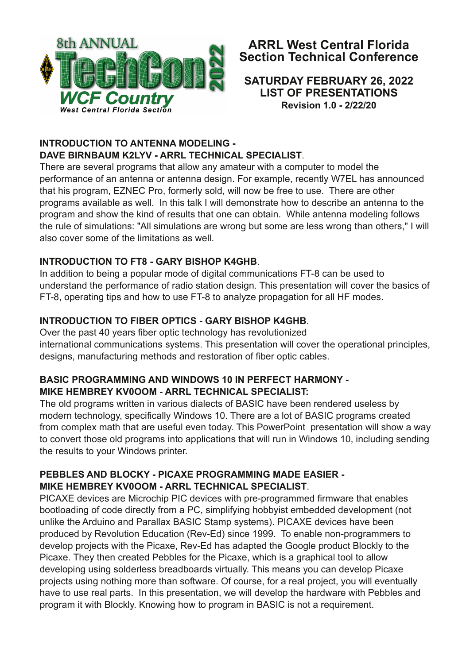

# **ARRL West Central Florida Section Technical Conference**

#### **SATURDAY FEBRUARY 26, 2022 LIST OF PRESENTATIONS Revision 1.0 2/22/20**

## **INTRODUCTION TO ANTENNA MODELING -DAVE BIRNBAUM K2LYV ARRL TECHNICAL SPECIALIST**.

There are several programs that allow any amateur with a computer to model the performance of an antenna or antenna design. For example, recently W7EL has announced that his program, EZNEC Pro, formerly sold, will now be free to use. There are other programs available as well. In this talk I will demonstrate how to describe an antenna to the program and show the kind of results that one can obtain. While antenna modeling follows the rule of simulations: "All simulations are wrong but some are less wrong than others," I will also cover some of the limitations as well.

## **INTRODUCTION TO FT8 GARY BISHOP K4GHB**.

In addition to being a popular mode of digital communications FT-8 can be used to understand the performance of radio station design. This presentation will cover the basics of FT-8, operating tips and how to use FT-8 to analyze propagation for all HF modes.

## **INTRODUCTION TO FIBER OPTICS GARY BISHOP K4GHB**.

Over the past 40 years fiber optic technology has revolutionized international communications systems. This presentation will cover the operational principles, designs, manufacturing methods and restoration of fiber optic cables.

#### **BASIC PROGRAMMING AND WINDOWS 10 IN PERFECT HARMONY MIKE HEMBREY KV0OOM ARRL TECHNICAL SPECIALIST:**

The old programs written in various dialects of BASIC have been rendered useless by modern technology, specifically Windows 10. There are a lot of BASIC programs created from complex math that are useful even today. This PowerPoint presentation will show a way to convert those old programs into applications that will run in Windows 10, including sending the results to your Windows printer.

#### **PEBBLES AND BLOCKY PICAXE PROGRAMMING MADE EASIER MIKE HEMBREY KV0OOM ARRL TECHNICAL SPECIALIST**.

PICAXE devices are Microchip PIC devices with pre-programmed firmware that enables bootloading of code directly from a PC, simplifying hobbyist embedded development (not unlike the Arduino and Parallax BASIC Stamp systems). PICAXE devices have been produced by Revolution Education (Rev-Ed) since 1999. To enable non-programmers to develop projects with the Picaxe, Rev-Ed has adapted the Google product Blockly to the Picaxe. They then created Pebbles for the Picaxe, which is a graphical tool to allow developing using solderless breadboards virtually. This means you can develop Picaxe projects using nothing more than software. Of course, for a real project, you will eventually have to use real parts. In this presentation, we will develop the hardware with Pebbles and program it with Blockly. Knowing how to program in BASIC is not a requirement.